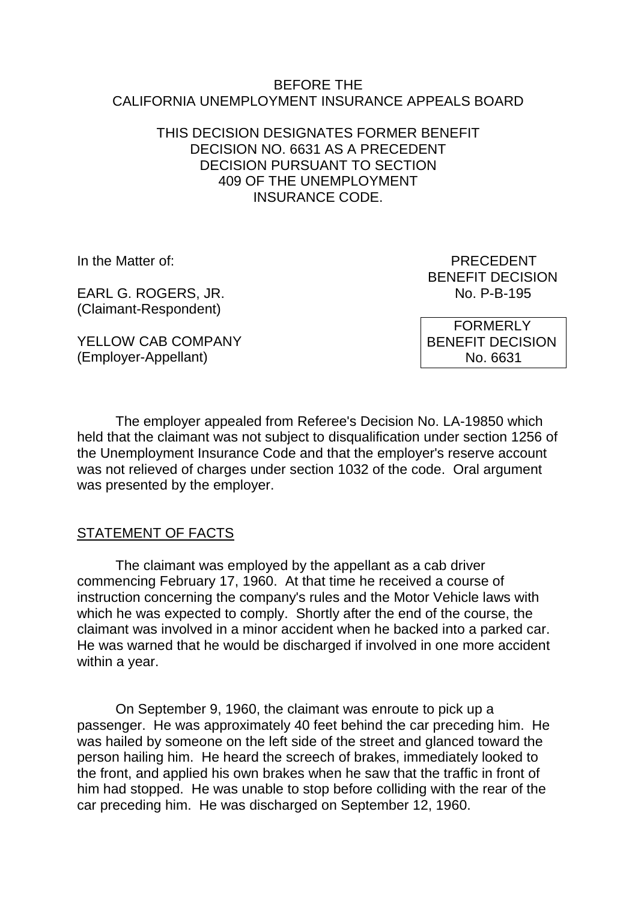### BEFORE THE CALIFORNIA UNEMPLOYMENT INSURANCE APPEALS BOARD

## THIS DECISION DESIGNATES FORMER BENEFIT DECISION NO. 6631 AS A PRECEDENT DECISION PURSUANT TO SECTION 409 OF THE UNEMPLOYMENT INSURANCE CODE.

EARL G. ROGERS, JR. (Claimant-Respondent)

YELLOW CAB COMPANY (Employer-Appellant)

In the Matter of: PRECEDENT BENEFIT DECISION<br>No. P-B-195

> FORMERLY BENEFIT DECISION No. 6631

The employer appealed from Referee's Decision No. LA-19850 which held that the claimant was not subject to disqualification under section 1256 of the Unemployment Insurance Code and that the employer's reserve account was not relieved of charges under section 1032 of the code. Oral argument was presented by the employer.

# STATEMENT OF FACTS

The claimant was employed by the appellant as a cab driver commencing February 17, 1960. At that time he received a course of instruction concerning the company's rules and the Motor Vehicle laws with which he was expected to comply. Shortly after the end of the course, the claimant was involved in a minor accident when he backed into a parked car. He was warned that he would be discharged if involved in one more accident within a year.

On September 9, 1960, the claimant was enroute to pick up a passenger. He was approximately 40 feet behind the car preceding him. He was hailed by someone on the left side of the street and glanced toward the person hailing him. He heard the screech of brakes, immediately looked to the front, and applied his own brakes when he saw that the traffic in front of him had stopped. He was unable to stop before colliding with the rear of the car preceding him. He was discharged on September 12, 1960.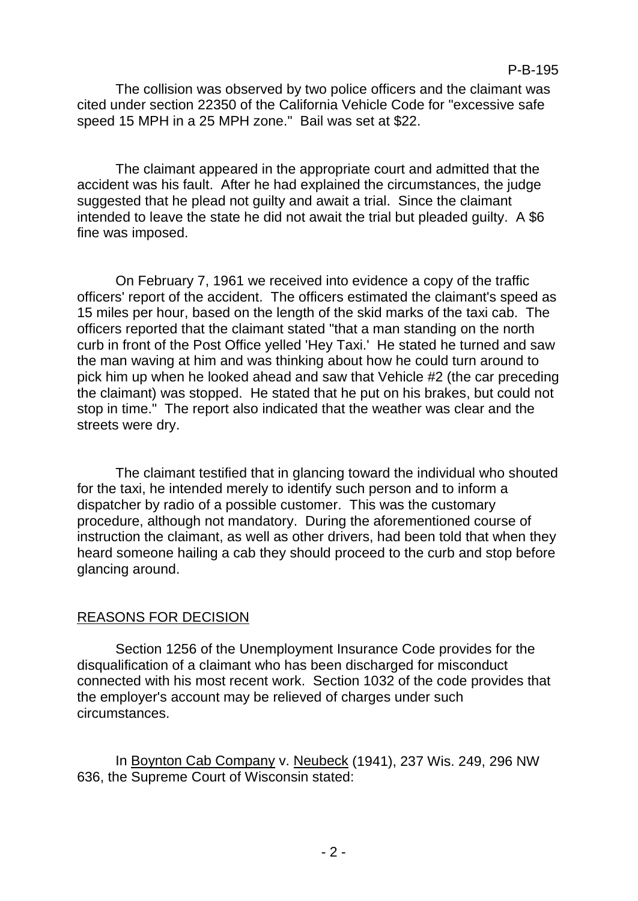The collision was observed by two police officers and the claimant was cited under section 22350 of the California Vehicle Code for "excessive safe speed 15 MPH in a 25 MPH zone." Bail was set at \$22.

The claimant appeared in the appropriate court and admitted that the accident was his fault. After he had explained the circumstances, the judge suggested that he plead not guilty and await a trial. Since the claimant intended to leave the state he did not await the trial but pleaded guilty. A \$6 fine was imposed.

On February 7, 1961 we received into evidence a copy of the traffic officers' report of the accident. The officers estimated the claimant's speed as 15 miles per hour, based on the length of the skid marks of the taxi cab. The officers reported that the claimant stated "that a man standing on the north curb in front of the Post Office yelled 'Hey Taxi.' He stated he turned and saw the man waving at him and was thinking about how he could turn around to pick him up when he looked ahead and saw that Vehicle #2 (the car preceding the claimant) was stopped. He stated that he put on his brakes, but could not stop in time." The report also indicated that the weather was clear and the streets were dry.

The claimant testified that in glancing toward the individual who shouted for the taxi, he intended merely to identify such person and to inform a dispatcher by radio of a possible customer. This was the customary procedure, although not mandatory. During the aforementioned course of instruction the claimant, as well as other drivers, had been told that when they heard someone hailing a cab they should proceed to the curb and stop before glancing around.

# REASONS FOR DECISION

Section 1256 of the Unemployment Insurance Code provides for the disqualification of a claimant who has been discharged for misconduct connected with his most recent work. Section 1032 of the code provides that the employer's account may be relieved of charges under such circumstances.

In Boynton Cab Company v. Neubeck (1941), 237 Wis. 249, 296 NW 636, the Supreme Court of Wisconsin stated: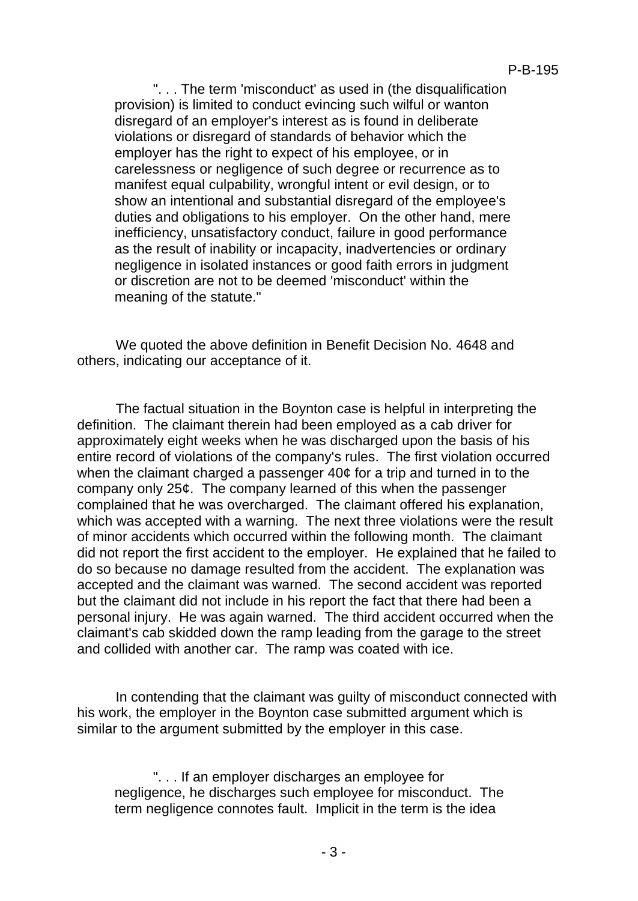". . . The term 'misconduct' as used in (the disqualification provision) is limited to conduct evincing such wilful or wanton disregard of an employer's interest as is found in deliberate violations or disregard of standards of behavior which the employer has the right to expect of his employee, or in carelessness or negligence of such degree or recurrence as to manifest equal culpability, wrongful intent or evil design, or to show an intentional and substantial disregard of the employee's duties and obligations to his employer. On the other hand, mere inefficiency, unsatisfactory conduct, failure in good performance as the result of inability or incapacity, inadvertencies or ordinary negligence in isolated instances or good faith errors in judgment or discretion are not to be deemed 'misconduct' within the meaning of the statute."

We quoted the above definition in Benefit Decision No. 4648 and others, indicating our acceptance of it.

The factual situation in the Boynton case is helpful in interpreting the definition. The claimant therein had been employed as a cab driver for approximately eight weeks when he was discharged upon the basis of his entire record of violations of the company's rules. The first violation occurred when the claimant charged a passenger 40¢ for a trip and turned in to the company only 25¢. The company learned of this when the passenger complained that he was overcharged. The claimant offered his explanation, which was accepted with a warning. The next three violations were the result of minor accidents which occurred within the following month. The claimant did not report the first accident to the employer. He explained that he failed to do so because no damage resulted from the accident. The explanation was accepted and the claimant was warned. The second accident was reported but the claimant did not include in his report the fact that there had been a personal injury. He was again warned. The third accident occurred when the claimant's cab skidded down the ramp leading from the garage to the street and collided with another car. The ramp was coated with ice.

In contending that the claimant was guilty of misconduct connected with his work, the employer in the Boynton case submitted argument which is similar to the argument submitted by the employer in this case.

". . . If an employer discharges an employee for negligence, he discharges such employee for misconduct. The term negligence connotes fault. Implicit in the term is the idea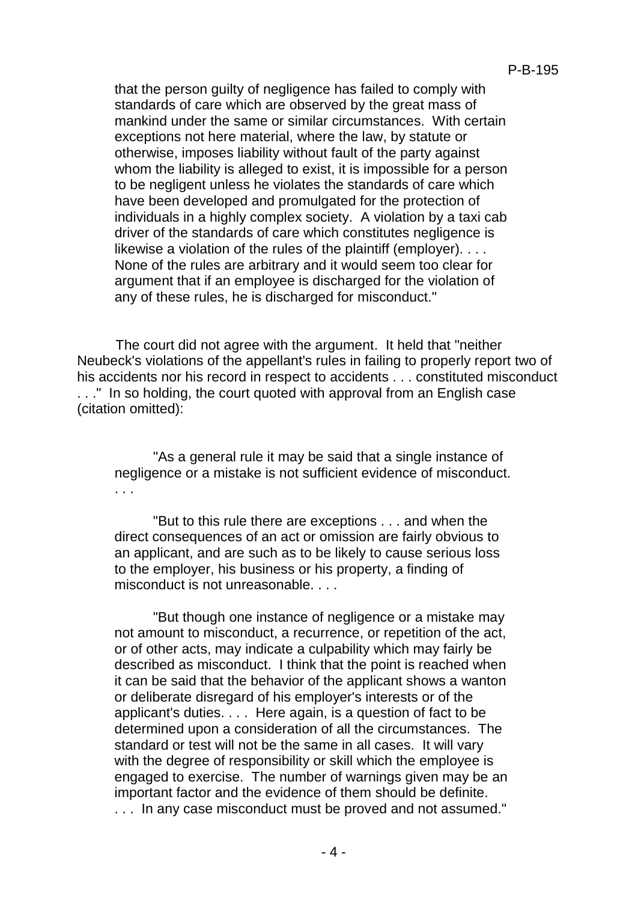that the person guilty of negligence has failed to comply with standards of care which are observed by the great mass of mankind under the same or similar circumstances. With certain exceptions not here material, where the law, by statute or otherwise, imposes liability without fault of the party against whom the liability is alleged to exist, it is impossible for a person to be negligent unless he violates the standards of care which have been developed and promulgated for the protection of individuals in a highly complex society. A violation by a taxi cab driver of the standards of care which constitutes negligence is likewise a violation of the rules of the plaintiff (employer). . . . None of the rules are arbitrary and it would seem too clear for argument that if an employee is discharged for the violation of any of these rules, he is discharged for misconduct."

The court did not agree with the argument. It held that "neither Neubeck's violations of the appellant's rules in failing to properly report two of his accidents nor his record in respect to accidents . . . constituted misconduct . . ." In so holding, the court quoted with approval from an English case (citation omitted):

"As a general rule it may be said that a single instance of negligence or a mistake is not sufficient evidence of misconduct. . . .

"But to this rule there are exceptions . . . and when the direct consequences of an act or omission are fairly obvious to an applicant, and are such as to be likely to cause serious loss to the employer, his business or his property, a finding of misconduct is not unreasonable. . . .

"But though one instance of negligence or a mistake may not amount to misconduct, a recurrence, or repetition of the act, or of other acts, may indicate a culpability which may fairly be described as misconduct. I think that the point is reached when it can be said that the behavior of the applicant shows a wanton or deliberate disregard of his employer's interests or of the applicant's duties. . . . Here again, is a question of fact to be determined upon a consideration of all the circumstances. The standard or test will not be the same in all cases. It will vary with the degree of responsibility or skill which the employee is engaged to exercise. The number of warnings given may be an important factor and the evidence of them should be definite. . . . In any case misconduct must be proved and not assumed."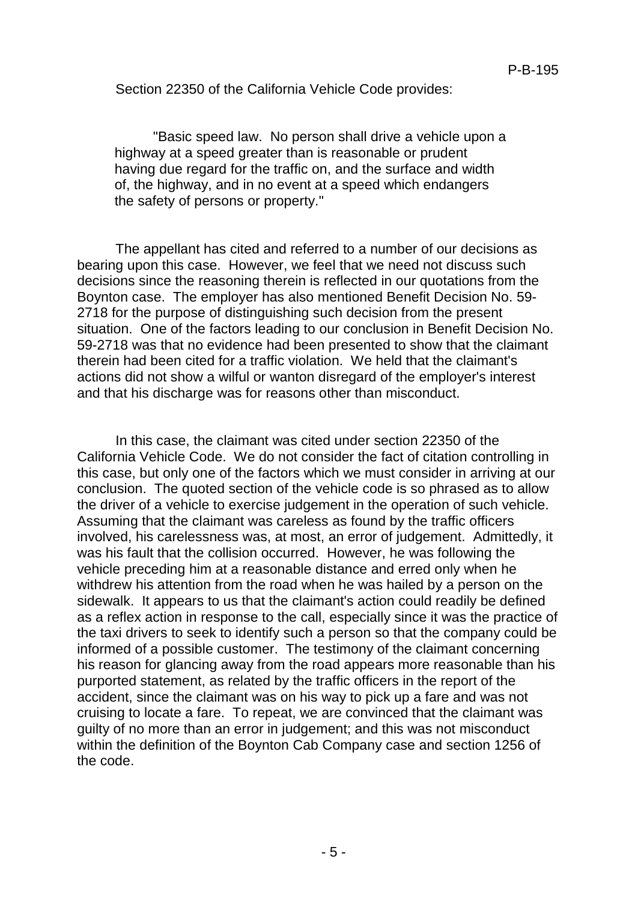Section 22350 of the California Vehicle Code provides:

"Basic speed law. No person shall drive a vehicle upon a highway at a speed greater than is reasonable or prudent having due regard for the traffic on, and the surface and width of, the highway, and in no event at a speed which endangers the safety of persons or property."

The appellant has cited and referred to a number of our decisions as bearing upon this case. However, we feel that we need not discuss such decisions since the reasoning therein is reflected in our quotations from the Boynton case. The employer has also mentioned Benefit Decision No. 59- 2718 for the purpose of distinguishing such decision from the present situation. One of the factors leading to our conclusion in Benefit Decision No. 59-2718 was that no evidence had been presented to show that the claimant therein had been cited for a traffic violation. We held that the claimant's actions did not show a wilful or wanton disregard of the employer's interest and that his discharge was for reasons other than misconduct.

In this case, the claimant was cited under section 22350 of the California Vehicle Code. We do not consider the fact of citation controlling in this case, but only one of the factors which we must consider in arriving at our conclusion. The quoted section of the vehicle code is so phrased as to allow the driver of a vehicle to exercise judgement in the operation of such vehicle. Assuming that the claimant was careless as found by the traffic officers involved, his carelessness was, at most, an error of judgement. Admittedly, it was his fault that the collision occurred. However, he was following the vehicle preceding him at a reasonable distance and erred only when he withdrew his attention from the road when he was hailed by a person on the sidewalk. It appears to us that the claimant's action could readily be defined as a reflex action in response to the call, especially since it was the practice of the taxi drivers to seek to identify such a person so that the company could be informed of a possible customer. The testimony of the claimant concerning his reason for glancing away from the road appears more reasonable than his purported statement, as related by the traffic officers in the report of the accident, since the claimant was on his way to pick up a fare and was not cruising to locate a fare. To repeat, we are convinced that the claimant was guilty of no more than an error in judgement; and this was not misconduct within the definition of the Boynton Cab Company case and section 1256 of the code.